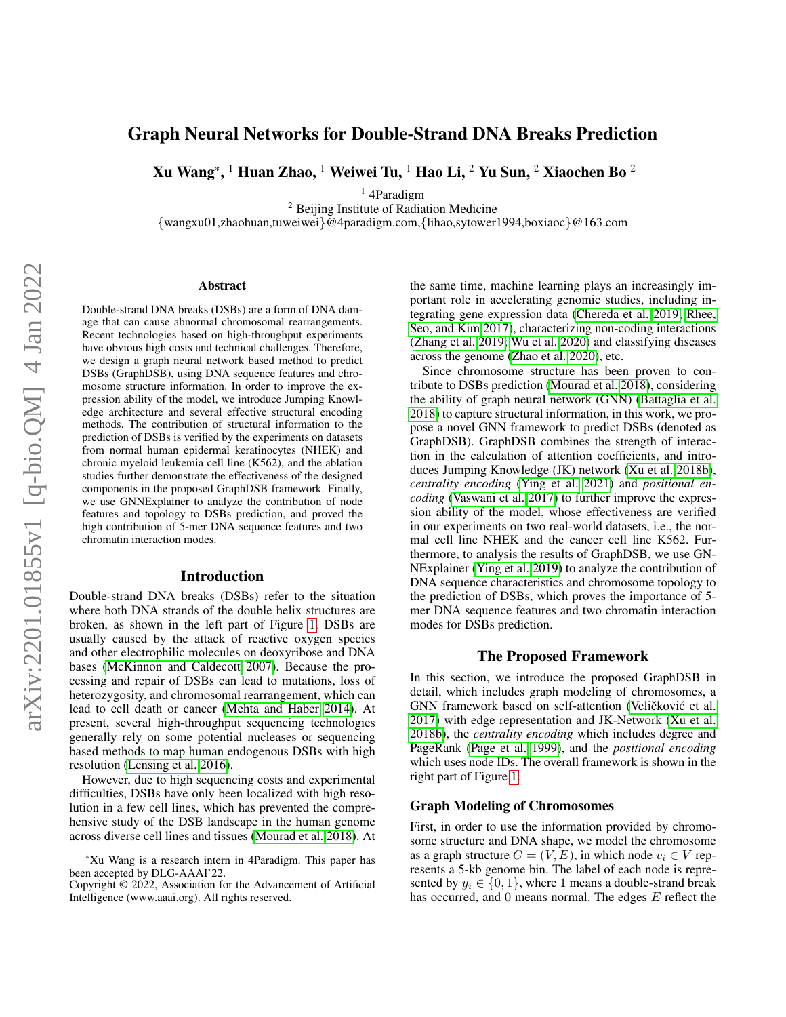# Graph Neural Networks for Double-Strand DNA Breaks Prediction

Xu Wang $^*,{}^1$  Huan Zhao,  ${}^1$  Weiwei Tu,  ${}^1$  Hao Li,  ${}^2$  Yu Sun,  ${}^2$  Xiaochen Bo  ${}^2$ 

<sup>1</sup> 4Paradigm

<sup>2</sup> Beijing Institute of Radiation Medicine

{wangxu01,zhaohuan,tuweiwei}@4paradigm.com,{lihao,sytower1994,boxiaoc}@163.com

#### Abstract

Double-strand DNA breaks (DSBs) are a form of DNA damage that can cause abnormal chromosomal rearrangements. Recent technologies based on high-throughput experiments have obvious high costs and technical challenges. Therefore, we design a graph neural network based method to predict DSBs (GraphDSB), using DNA sequence features and chromosome structure information. In order to improve the expression ability of the model, we introduce Jumping Knowledge architecture and several effective structural encoding methods. The contribution of structural information to the prediction of DSBs is verified by the experiments on datasets from normal human epidermal keratinocytes (NHEK) and chronic myeloid leukemia cell line (K562), and the ablation studies further demonstrate the effectiveness of the designed components in the proposed GraphDSB framework. Finally, we use GNNExplainer to analyze the contribution of node features and topology to DSBs prediction, and proved the high contribution of 5-mer DNA sequence features and two chromatin interaction modes.

#### Introduction

Double-strand DNA breaks (DSBs) refer to the situation where both DNA strands of the double helix structures are broken, as shown in the left part of Figure [1.](#page-1-0) DSBs are usually caused by the attack of reactive oxygen species and other electrophilic molecules on deoxyribose and DNA bases [\(McKinnon and Caldecott 2007\)](#page-4-0). Because the processing and repair of DSBs can lead to mutations, loss of heterozygosity, and chromosomal rearrangement, which can lead to cell death or cancer [\(Mehta and Haber 2014\)](#page-4-1). At present, several high-throughput sequencing technologies generally rely on some potential nucleases or sequencing based methods to map human endogenous DSBs with high resolution [\(Lensing et al. 2016\)](#page-4-2).

However, due to high sequencing costs and experimental difficulties, DSBs have only been localized with high resolution in a few cell lines, which has prevented the comprehensive study of the DSB landscape in the human genome across diverse cell lines and tissues [\(Mourad et al. 2018\)](#page-4-3). At the same time, machine learning plays an increasingly important role in accelerating genomic studies, including integrating gene expression data [\(Chereda et al. 2019;](#page-4-4) [Rhee,](#page-4-5) [Seo, and Kim 2017\)](#page-4-5), characterizing non-coding interactions [\(Zhang et al. 2019;](#page-5-0) [Wu et al. 2020\)](#page-4-6) and classifying diseases across the genome [\(Zhao et al. 2020\)](#page-5-1), etc.

Since chromosome structure has been proven to contribute to DSBs prediction [\(Mourad et al. 2018\)](#page-4-3), considering the ability of graph neural network (GNN) [\(Battaglia et al.](#page-3-0) [2018\)](#page-3-0) to capture structural information, in this work, we propose a novel GNN framework to predict DSBs (denoted as GraphDSB). GraphDSB combines the strength of interaction in the calculation of attention coefficients, and introduces Jumping Knowledge (JK) network [\(Xu et al. 2018b\)](#page-5-2), *centrality encoding* [\(Ying et al. 2021\)](#page-5-3) and *positional encoding* [\(Vaswani et al. 2017\)](#page-4-7) to further improve the expression ability of the model, whose effectiveness are verified in our experiments on two real-world datasets, i.e., the normal cell line NHEK and the cancer cell line K562. Furthermore, to analysis the results of GraphDSB, we use GN-NExplainer [\(Ying et al. 2019\)](#page-5-4) to analyze the contribution of DNA sequence characteristics and chromosome topology to the prediction of DSBs, which proves the importance of 5 mer DNA sequence features and two chromatin interaction modes for DSBs prediction.

### The Proposed Framework

In this section, we introduce the proposed GraphDSB in detail, which includes graph modeling of chromosomes, a GNN framework based on self-attention (Veličković et al. [2017\)](#page-4-8) with edge representation and JK-Network [\(Xu et al.](#page-5-2) [2018b\)](#page-5-2), the *centrality encoding* which includes degree and PageRank [\(Page et al. 1999\)](#page-4-9), and the *positional encoding* which uses node IDs. The overall framework is shown in the right part of Figure [1.](#page-1-0)

#### Graph Modeling of Chromosomes

First, in order to use the information provided by chromosome structure and DNA shape, we model the chromosome as a graph structure  $G = (V, E)$ , in which node  $v_i \in V$  represents a 5-kb genome bin. The label of each node is represented by  $y_i \in \{0, 1\}$ , where 1 means a double-strand break has occurred, and 0 means normal. The edges E reflect the

<sup>\*</sup>Xu Wang is a research intern in 4Paradigm. This paper has been accepted by DLG-AAAI'22.

Copyright © 2022, Association for the Advancement of Artificial Intelligence (www.aaai.org). All rights reserved.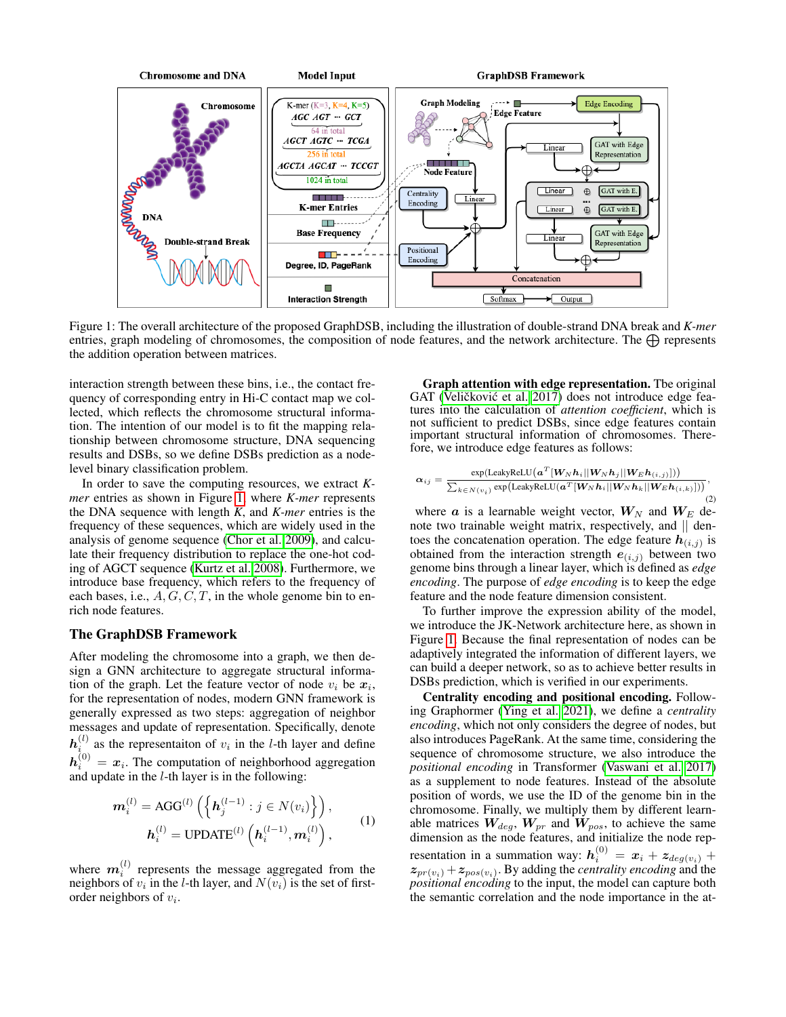<span id="page-1-0"></span>

Figure 1: The overall architecture of the proposed GraphDSB, including the illustration of double-strand DNA break and *K-mer* entries, graph modeling of chromosomes, the composition of node features, and the network architecture. The  $\bigoplus$  represents the addition operation between matrices.

interaction strength between these bins, i.e., the contact frequency of corresponding entry in Hi-C contact map we collected, which reflects the chromosome structural information. The intention of our model is to fit the mapping relationship between chromosome structure, DNA sequencing results and DSBs, so we define DSBs prediction as a nodelevel binary classification problem.

In order to save the computing resources, we extract *Kmer* entries as shown in Figure [1,](#page-1-0) where *K-mer* represents the DNA sequence with length *K*, and *K-mer* entries is the frequency of these sequences, which are widely used in the analysis of genome sequence [\(Chor et al. 2009\)](#page-4-10), and calculate their frequency distribution to replace the one-hot coding of AGCT sequence [\(Kurtz et al. 2008\)](#page-4-11). Furthermore, we introduce base frequency, which refers to the frequency of each bases, i.e.,  $A, G, C, T$ , in the whole genome bin to enrich node features.

# The GraphDSB Framework

After modeling the chromosome into a graph, we then design a GNN architecture to aggregate structural information of the graph. Let the feature vector of node  $v_i$  be  $x_i$ , for the representation of nodes, modern GNN framework is generally expressed as two steps: aggregation of neighbor messages and update of representation. Specifically, denote  $h_i^{(l)}$  as the representaiton of  $v_i$  in the *l*-th layer and define  $h_i^{(0)} = x_i$ . The computation of neighborhood aggregation and update in the  $l$ -th layer is in the following:

$$
\boldsymbol{m}_{i}^{(l)} = \text{AGG}^{(l)}\left(\left\{\boldsymbol{h}_{j}^{(l-1)} : j \in N(v_{i})\right\}\right),
$$

$$
\boldsymbol{h}_{i}^{(l)} = \text{UPDATE}^{(l)}\left(\boldsymbol{h}_{i}^{(l-1)}, \boldsymbol{m}_{i}^{(l)}\right),
$$
(1)

where  $m_i^{(l)}$  represents the message aggregated from the neighbors of  $v_i$  in the *l*-th layer, and  $N(v_i)$  is the set of firstorder neighbors of  $v_i$ .

Graph attention with edge representation. Tbe original GAT (Veličković et al. [2017\)](#page-4-8) does not introduce edge features into the calculation of *attention coefficient*, which is not sufficient to predict DSBs, since edge features contain important structural information of chromosomes. Therefore, we introduce edge features as follows:

$$
\alpha_{ij} = \frac{\exp(\text{LeakyReLU}(a^T[W_N h_i || W_N h_j || W_E h_{(i,j)}]))}{\sum_{k \in N(v_i)} \exp(\text{LeakyReLU}(a^T[W_N h_i || W_N h_k || W_E h_{(i,k)}]))},\tag{2}
$$

where  $\boldsymbol{a}$  is a learnable weight vector,  $\boldsymbol{W}_N$  and  $\boldsymbol{W}_E$  denote two trainable weight matrix, respectively, and || dentoes the concatenation operation. The edge feature  $h_{(i,j)}$  is obtained from the interaction strength  $e_{(i,j)}$  between two genome bins through a linear layer, which is defined as *edge encoding*. The purpose of *edge encoding* is to keep the edge feature and the node feature dimension consistent.

To further improve the expression ability of the model, we introduce the JK-Network architecture here, as shown in Figure [1.](#page-1-0) Because the final representation of nodes can be adaptively integrated the information of different layers, we can build a deeper network, so as to achieve better results in DSBs prediction, which is verified in our experiments.

Centrality encoding and positional encoding. Following Graphormer [\(Ying et al. 2021\)](#page-5-3), we define a *centrality encoding*, which not only considers the degree of nodes, but also introduces PageRank. At the same time, considering the sequence of chromosome structure, we also introduce the *positional encoding* in Transformer [\(Vaswani et al. 2017\)](#page-4-7) as a supplement to node features. Instead of the absolute position of words, we use the ID of the genome bin in the chromosome. Finally, we multiply them by different learnable matrices  $W_{deg}$ ,  $W_{pr}$  and  $W_{pos}$ , to achieve the same dimension as the node features, and initialize the node representation in a summation way:  $\mathbf{h}^{(0)}_i = \boldsymbol{x}_i + \boldsymbol{z}_{deg(v_i)} + \boldsymbol{z}_{deg(v_i)}$  $z_{pr(v_i)} + z_{pos(v_i)}$ . By adding the *centrality encoding* and the *positional encoding* to the input, the model can capture both the semantic correlation and the node importance in the at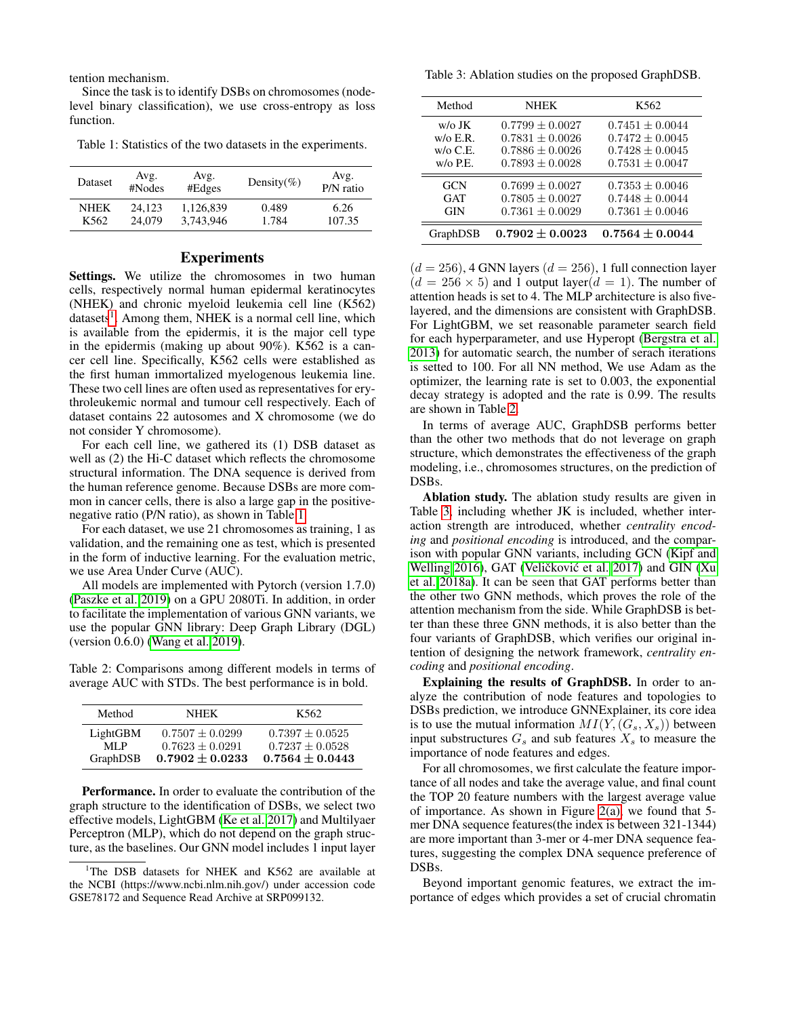tention mechanism.

Since the task is to identify DSBs on chromosomes (nodelevel binary classification), we use cross-entropy as loss function.

<span id="page-2-1"></span>Table 1: Statistics of the two datasets in the experiments.

| Dataset          | Avg.<br>#Nodes | Avg.<br>#Edges | Density(%) | Avg.<br>P/N ratio |
|------------------|----------------|----------------|------------|-------------------|
| <b>NHEK</b>      | 24.123         | 1,126,839      | 0.489      | 6.26              |
| K <sub>562</sub> | 24,079         | 3.743.946      | 1.784      | 107.35            |

# Experiments

Settings. We utilize the chromosomes in two human cells, respectively normal human epidermal keratinocytes (NHEK) and chronic myeloid leukemia cell line (K562) datasets<sup>[1](#page-2-0)</sup>. Among them, NHEK is a normal cell line, which is available from the epidermis, it is the major cell type in the epidermis (making up about 90%). K562 is a cancer cell line. Specifically, K562 cells were established as the first human immortalized myelogenous leukemia line. These two cell lines are often used as representatives for erythroleukemic normal and tumour cell respectively. Each of dataset contains 22 autosomes and X chromosome (we do not consider Y chromosome).

For each cell line, we gathered its (1) DSB dataset as well as (2) the Hi-C dataset which reflects the chromosome structural information. The DNA sequence is derived from the human reference genome. Because DSBs are more common in cancer cells, there is also a large gap in the positivenegative ratio (P/N ratio), as shown in Table [1.](#page-2-1)

For each dataset, we use 21 chromosomes as training, 1 as validation, and the remaining one as test, which is presented in the form of inductive learning. For the evaluation metric, we use Area Under Curve (AUC).

All models are implemented with Pytorch (version 1.7.0) [\(Paszke et al. 2019\)](#page-4-12) on a GPU 2080Ti. In addition, in order to facilitate the implementation of various GNN variants, we use the popular GNN library: Deep Graph Library (DGL) (version 0.6.0) [\(Wang et al. 2019\)](#page-4-13).

<span id="page-2-2"></span>Table 2: Comparisons among different models in terms of average AUC with STDs. The best performance is in bold.

| Method   | <b>NHEK</b>         | K562                |
|----------|---------------------|---------------------|
| LightGBM | $0.7507 + 0.0299$   | $0.7397 + 0.0525$   |
| ML P     | $0.7623 + 0.0291$   | $0.7237 + 0.0528$   |
| GraphDSB | $0.7902 \pm 0.0233$ | $0.7564 \pm 0.0443$ |

Performance. In order to evaluate the contribution of the graph structure to the identification of DSBs, we select two effective models, LightGBM [\(Ke et al. 2017\)](#page-4-14) and Multilyaer Perceptron (MLP), which do not depend on the graph structure, as the baselines. Our GNN model includes 1 input layer

<span id="page-2-3"></span>Table 3: Ablation studies on the proposed GraphDSB.

| Method             | <b>NHEK</b>         | K <sub>562</sub>    |
|--------------------|---------------------|---------------------|
| $w/\sigma$ JK      | $0.7799 + 0.0027$   | $0.7451 \pm 0.0044$ |
| $w$ / $\circ$ E.R. | $0.7831 \pm 0.0026$ | $0.7472 \pm 0.0045$ |
| $w$ / $\circ$ C.E. | $0.7886 + 0.0026$   | $0.7428 + 0.0045$   |
| $w$ / $\circ$ P.E. | $0.7893 \pm 0.0028$ | $0.7531 \pm 0.0047$ |
| <b>GCN</b>         | $0.7699 \pm 0.0027$ | $0.7353 \pm 0.0046$ |
| GAT                | $0.7805 \pm 0.0027$ | $0.7448 \pm 0.0044$ |
| <b>GIN</b>         | $0.7361 \pm 0.0029$ | $0.7361 \pm 0.0046$ |
| GraphDSB           | $0.7902 \pm 0.0023$ | $0.7564 \pm 0.0044$ |

 $(d = 256)$ , 4 GNN layers  $(d = 256)$ , 1 full connection layer  $(d = 256 \times 5)$  and 1 output layer $(d = 1)$ . The number of attention heads is set to 4. The MLP architecture is also fivelayered, and the dimensions are consistent with GraphDSB. For LightGBM, we set reasonable parameter search field for each hyperparameter, and use Hyperopt [\(Bergstra et al.](#page-3-1) [2013\)](#page-3-1) for automatic search, the number of serach iterations is setted to 100. For all NN method, We use Adam as the optimizer, the learning rate is set to 0.003, the exponential decay strategy is adopted and the rate is 0.99. The results are shown in Table [2.](#page-2-2)

In terms of average AUC, GraphDSB performs better than the other two methods that do not leverage on graph structure, which demonstrates the effectiveness of the graph modeling, i.e., chromosomes structures, on the prediction of DSBs.

Ablation study. The ablation study results are given in Table [3,](#page-2-3) including whether JK is included, whether interaction strength are introduced, whether *centrality encoding* and *positional encoding* is introduced, and the comparison with popular GNN variants, including GCN [\(Kipf and](#page-4-15) [Welling 2016\)](#page-4-15), GAT (Veličković et al. [2017\)](#page-4-8) and GIN [\(Xu](#page-5-5) [et al. 2018a\)](#page-5-5). It can be seen that GAT performs better than the other two GNN methods, which proves the role of the attention mechanism from the side. While GraphDSB is better than these three GNN methods, it is also better than the four variants of GraphDSB, which verifies our original intention of designing the network framework, *centrality encoding* and *positional encoding*.

Explaining the results of GraphDSB. In order to analyze the contribution of node features and topologies to DSBs prediction, we introduce GNNExplainer, its core idea is to use the mutual information  $MI(Y, (G_s, X_s))$  between input substructures  $G_s$  and sub features  $X_s$  to measure the importance of node features and edges.

For all chromosomes, we first calculate the feature importance of all nodes and take the average value, and final count the TOP 20 feature numbers with the largest average value of importance. As shown in Figure [2\(a\),](#page-3-2) we found that 5 mer DNA sequence features(the index is between 321-1344) are more important than 3-mer or 4-mer DNA sequence features, suggesting the complex DNA sequence preference of DSBs.

Beyond important genomic features, we extract the importance of edges which provides a set of crucial chromatin

<span id="page-2-0"></span><sup>&</sup>lt;sup>1</sup>The DSB datasets for NHEK and K562 are available at the NCBI (https://www.ncbi.nlm.nih.gov/) under accession code GSE78172 and Sequence Read Archive at SRP099132.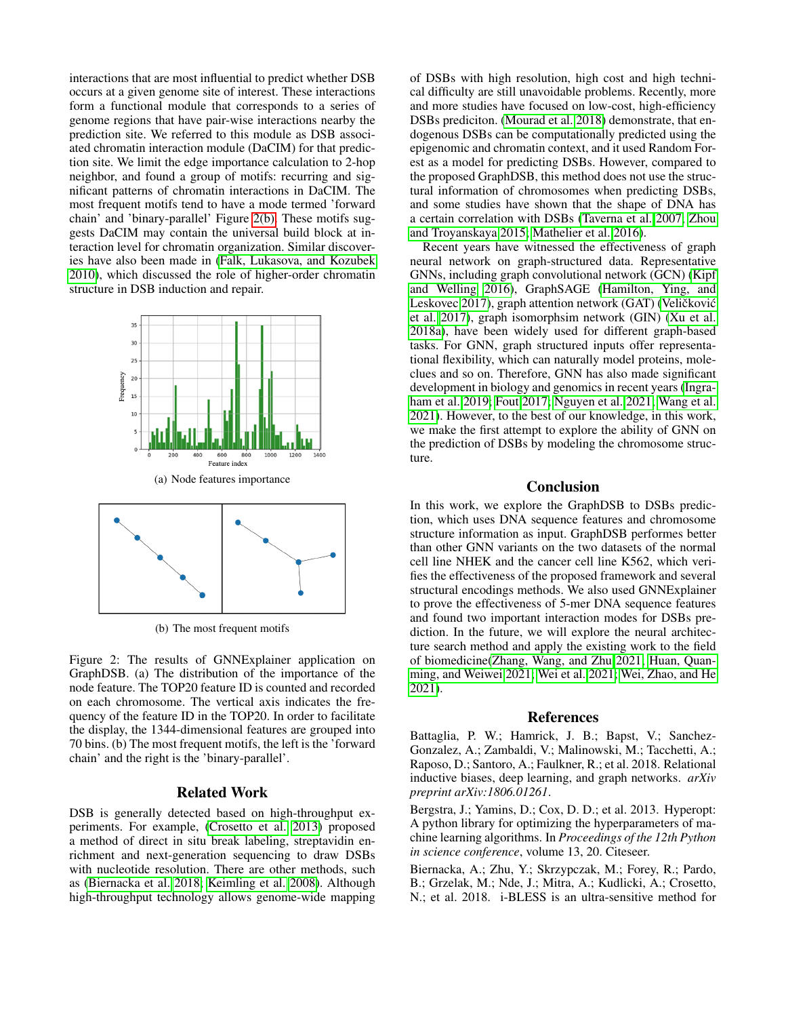interactions that are most influential to predict whether DSB occurs at a given genome site of interest. These interactions form a functional module that corresponds to a series of genome regions that have pair-wise interactions nearby the prediction site. We referred to this module as DSB associated chromatin interaction module (DaCIM) for that prediction site. We limit the edge importance calculation to 2-hop neighbor, and found a group of motifs: recurring and significant patterns of chromatin interactions in DaCIM. The most frequent motifs tend to have a mode termed 'forward chain' and 'binary-parallel' Figure [2\(b\).](#page-3-3) These motifs suggests DaCIM may contain the universal build block at interaction level for chromatin organization. Similar discoveries have also been made in [\(Falk, Lukasova, and Kozubek](#page-4-16) [2010\)](#page-4-16), which discussed the role of higher-order chromatin structure in DSB induction and repair.

<span id="page-3-2"></span>

(b) The most frequent motifs

<span id="page-3-3"></span>Figure 2: The results of GNNExplainer application on GraphDSB. (a) The distribution of the importance of the node feature. The TOP20 feature ID is counted and recorded on each chromosome. The vertical axis indicates the frequency of the feature ID in the TOP20. In order to facilitate the display, the 1344-dimensional features are grouped into 70 bins. (b) The most frequent motifs, the left is the 'forward chain' and the right is the 'binary-parallel'.

## Related Work

DSB is generally detected based on high-throughput experiments. For example, [\(Crosetto et al. 2013\)](#page-4-17) proposed a method of direct in situ break labeling, streptavidin enrichment and next-generation sequencing to draw DSBs with nucleotide resolution. There are other methods, such as [\(Biernacka et al. 2018;](#page-3-4) [Keimling et al. 2008\)](#page-4-18). Although high-throughput technology allows genome-wide mapping

of DSBs with high resolution, high cost and high technical difficulty are still unavoidable problems. Recently, more and more studies have focused on low-cost, high-efficiency DSBs prediciton. [\(Mourad et al. 2018\)](#page-4-3) demonstrate, that endogenous DSBs can be computationally predicted using the epigenomic and chromatin context, and it used Random Forest as a model for predicting DSBs. However, compared to the proposed GraphDSB, this method does not use the structural information of chromosomes when predicting DSBs, and some studies have shown that the shape of DNA has a certain correlation with DSBs [\(Taverna et al. 2007;](#page-4-19) [Zhou](#page-5-6) [and Troyanskaya 2015;](#page-5-6) [Mathelier et al. 2016\)](#page-4-20).

Recent years have witnessed the effectiveness of graph neural network on graph-structured data. Representative GNNs, including graph convolutional network (GCN) [\(Kipf](#page-4-15) [and Welling 2016\)](#page-4-15), GraphSAGE [\(Hamilton, Ying, and](#page-4-21) [Leskovec 2017\)](#page-4-21), graph attention network (GAT) (Veličković [et al. 2017\)](#page-4-8), graph isomorphsim network (GIN) [\(Xu et al.](#page-5-5) [2018a\)](#page-5-5), have been widely used for different graph-based tasks. For GNN, graph structured inputs offer representational flexibility, which can naturally model proteins, moleclues and so on. Therefore, GNN has also made significant development in biology and genomics in recent years [\(Ingra](#page-4-22)[ham et al. 2019;](#page-4-22) [Fout 2017;](#page-4-23) [Nguyen et al. 2021;](#page-4-24) [Wang et al.](#page-4-25) [2021\)](#page-4-25). However, to the best of our knowledge, in this work, we make the first attempt to explore the ability of GNN on the prediction of DSBs by modeling the chromosome structure.

## Conclusion

In this work, we explore the GraphDSB to DSBs prediction, which uses DNA sequence features and chromosome structure information as input. GraphDSB performes better than other GNN variants on the two datasets of the normal cell line NHEK and the cancer cell line K562, which verifies the effectiveness of the proposed framework and several structural encodings methods. We also used GNNExplainer to prove the effectiveness of 5-mer DNA sequence features and found two important interaction modes for DSBs prediction. In the future, we will explore the neural architecture search method and apply the existing work to the field of biomedicine[\(Zhang, Wang, and Zhu 2021;](#page-5-7) [Huan, Quan](#page-4-26)[ming, and Weiwei 2021;](#page-4-26) [Wei et al. 2021;](#page-4-27) [Wei, Zhao, and He](#page-4-28) [2021\)](#page-4-28).

#### References

<span id="page-3-0"></span>Battaglia, P. W.; Hamrick, J. B.; Bapst, V.; Sanchez-Gonzalez, A.; Zambaldi, V.; Malinowski, M.; Tacchetti, A.; Raposo, D.; Santoro, A.; Faulkner, R.; et al. 2018. Relational inductive biases, deep learning, and graph networks. *arXiv preprint arXiv:1806.01261*.

<span id="page-3-1"></span>Bergstra, J.; Yamins, D.; Cox, D. D.; et al. 2013. Hyperopt: A python library for optimizing the hyperparameters of machine learning algorithms. In *Proceedings of the 12th Python in science conference*, volume 13, 20. Citeseer.

<span id="page-3-4"></span>Biernacka, A.; Zhu, Y.; Skrzypczak, M.; Forey, R.; Pardo, B.; Grzelak, M.; Nde, J.; Mitra, A.; Kudlicki, A.; Crosetto, N.; et al. 2018. i-BLESS is an ultra-sensitive method for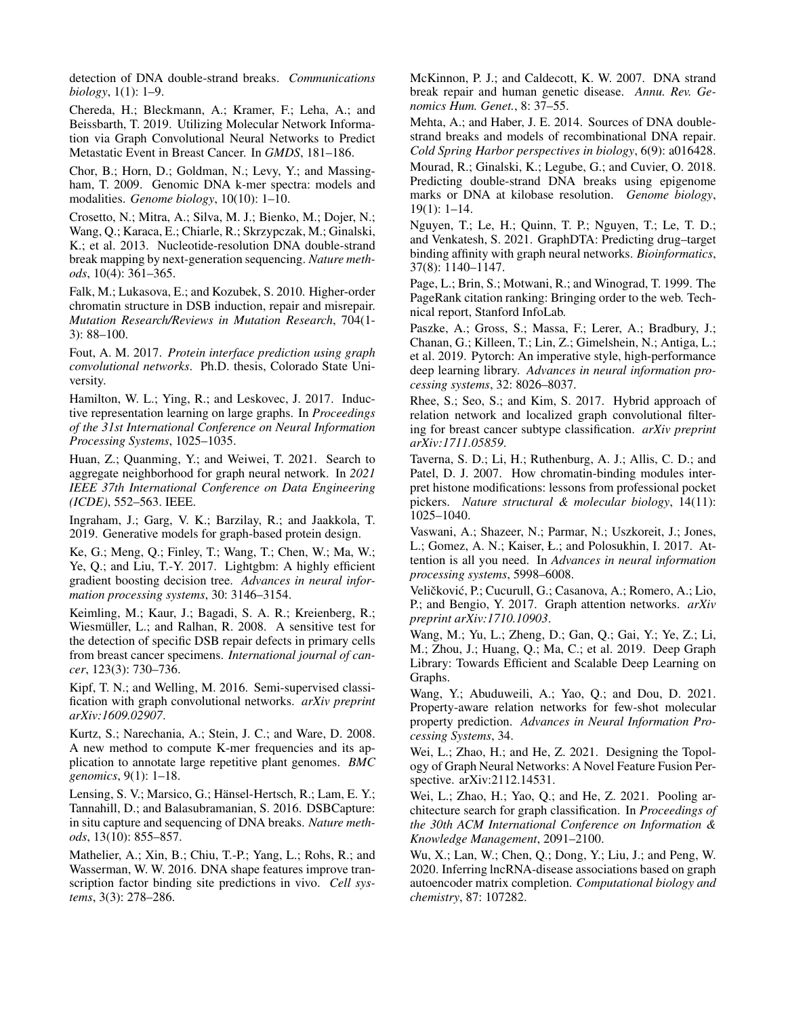detection of DNA double-strand breaks. *Communications biology*, 1(1): 1–9.

<span id="page-4-4"></span>Chereda, H.; Bleckmann, A.; Kramer, F.; Leha, A.; and Beissbarth, T. 2019. Utilizing Molecular Network Information via Graph Convolutional Neural Networks to Predict Metastatic Event in Breast Cancer. In *GMDS*, 181–186.

<span id="page-4-10"></span>Chor, B.; Horn, D.; Goldman, N.; Levy, Y.; and Massingham, T. 2009. Genomic DNA k-mer spectra: models and modalities. *Genome biology*, 10(10): 1–10.

<span id="page-4-17"></span>Crosetto, N.; Mitra, A.; Silva, M. J.; Bienko, M.; Dojer, N.; Wang, Q.; Karaca, E.; Chiarle, R.; Skrzypczak, M.; Ginalski, K.; et al. 2013. Nucleotide-resolution DNA double-strand break mapping by next-generation sequencing. *Nature methods*, 10(4): 361–365.

<span id="page-4-16"></span>Falk, M.; Lukasova, E.; and Kozubek, S. 2010. Higher-order chromatin structure in DSB induction, repair and misrepair. *Mutation Research/Reviews in Mutation Research*, 704(1- 3): 88–100.

<span id="page-4-23"></span>Fout, A. M. 2017. *Protein interface prediction using graph convolutional networks*. Ph.D. thesis, Colorado State University.

<span id="page-4-21"></span>Hamilton, W. L.; Ying, R.; and Leskovec, J. 2017. Inductive representation learning on large graphs. In *Proceedings of the 31st International Conference on Neural Information Processing Systems*, 1025–1035.

<span id="page-4-26"></span>Huan, Z.; Quanming, Y.; and Weiwei, T. 2021. Search to aggregate neighborhood for graph neural network. In *2021 IEEE 37th International Conference on Data Engineering (ICDE)*, 552–563. IEEE.

<span id="page-4-22"></span>Ingraham, J.; Garg, V. K.; Barzilay, R.; and Jaakkola, T. 2019. Generative models for graph-based protein design.

<span id="page-4-14"></span>Ke, G.; Meng, Q.; Finley, T.; Wang, T.; Chen, W.; Ma, W.; Ye, Q.; and Liu, T.-Y. 2017. Lightgbm: A highly efficient gradient boosting decision tree. *Advances in neural information processing systems*, 30: 3146–3154.

<span id="page-4-18"></span>Keimling, M.; Kaur, J.; Bagadi, S. A. R.; Kreienberg, R.; Wiesmüller, L.; and Ralhan, R. 2008. A sensitive test for the detection of specific DSB repair defects in primary cells from breast cancer specimens. *International journal of cancer*, 123(3): 730–736.

<span id="page-4-15"></span>Kipf, T. N.; and Welling, M. 2016. Semi-supervised classification with graph convolutional networks. *arXiv preprint arXiv:1609.02907*.

<span id="page-4-11"></span>Kurtz, S.; Narechania, A.; Stein, J. C.; and Ware, D. 2008. A new method to compute K-mer frequencies and its application to annotate large repetitive plant genomes. *BMC genomics*, 9(1): 1–18.

<span id="page-4-2"></span>Lensing, S. V.; Marsico, G.; Hänsel-Hertsch, R.; Lam, E. Y.; Tannahill, D.; and Balasubramanian, S. 2016. DSBCapture: in situ capture and sequencing of DNA breaks. *Nature methods*, 13(10): 855–857.

<span id="page-4-20"></span>Mathelier, A.; Xin, B.; Chiu, T.-P.; Yang, L.; Rohs, R.; and Wasserman, W. W. 2016. DNA shape features improve transcription factor binding site predictions in vivo. *Cell systems*, 3(3): 278–286.

<span id="page-4-0"></span>McKinnon, P. J.; and Caldecott, K. W. 2007. DNA strand break repair and human genetic disease. *Annu. Rev. Genomics Hum. Genet.*, 8: 37–55.

<span id="page-4-1"></span>Mehta, A.; and Haber, J. E. 2014. Sources of DNA doublestrand breaks and models of recombinational DNA repair. *Cold Spring Harbor perspectives in biology*, 6(9): a016428.

<span id="page-4-3"></span>Mourad, R.; Ginalski, K.; Legube, G.; and Cuvier, O. 2018. Predicting double-strand DNA breaks using epigenome marks or DNA at kilobase resolution. *Genome biology*, 19(1): 1–14.

<span id="page-4-24"></span>Nguyen, T.; Le, H.; Quinn, T. P.; Nguyen, T.; Le, T. D.; and Venkatesh, S. 2021. GraphDTA: Predicting drug–target binding affinity with graph neural networks. *Bioinformatics*, 37(8): 1140–1147.

<span id="page-4-9"></span>Page, L.; Brin, S.; Motwani, R.; and Winograd, T. 1999. The PageRank citation ranking: Bringing order to the web. Technical report, Stanford InfoLab.

<span id="page-4-12"></span>Paszke, A.; Gross, S.; Massa, F.; Lerer, A.; Bradbury, J.; Chanan, G.; Killeen, T.; Lin, Z.; Gimelshein, N.; Antiga, L.; et al. 2019. Pytorch: An imperative style, high-performance deep learning library. *Advances in neural information processing systems*, 32: 8026–8037.

<span id="page-4-5"></span>Rhee, S.; Seo, S.; and Kim, S. 2017. Hybrid approach of relation network and localized graph convolutional filtering for breast cancer subtype classification. *arXiv preprint arXiv:1711.05859*.

<span id="page-4-19"></span>Taverna, S. D.; Li, H.; Ruthenburg, A. J.; Allis, C. D.; and Patel, D. J. 2007. How chromatin-binding modules interpret histone modifications: lessons from professional pocket pickers. *Nature structural & molecular biology*, 14(11): 1025–1040.

<span id="page-4-7"></span>Vaswani, A.; Shazeer, N.; Parmar, N.; Uszkoreit, J.; Jones, L.; Gomez, A. N.; Kaiser, Ł.; and Polosukhin, I. 2017. Attention is all you need. In *Advances in neural information processing systems*, 5998–6008.

<span id="page-4-8"></span>Veličković, P.; Cucurull, G.; Casanova, A.; Romero, A.; Lio, P.; and Bengio, Y. 2017. Graph attention networks. *arXiv preprint arXiv:1710.10903*.

<span id="page-4-13"></span>Wang, M.; Yu, L.; Zheng, D.; Gan, Q.; Gai, Y.; Ye, Z.; Li, M.; Zhou, J.; Huang, Q.; Ma, C.; et al. 2019. Deep Graph Library: Towards Efficient and Scalable Deep Learning on Graphs.

<span id="page-4-25"></span>Wang, Y.; Abuduweili, A.; Yao, Q.; and Dou, D. 2021. Property-aware relation networks for few-shot molecular property prediction. *Advances in Neural Information Processing Systems*, 34.

<span id="page-4-28"></span>Wei, L.; Zhao, H.; and He, Z. 2021. Designing the Topology of Graph Neural Networks: A Novel Feature Fusion Perspective. arXiv:2112.14531.

<span id="page-4-27"></span>Wei, L.; Zhao, H.; Yao, Q.; and He, Z. 2021. Pooling architecture search for graph classification. In *Proceedings of the 30th ACM International Conference on Information & Knowledge Management*, 2091–2100.

<span id="page-4-6"></span>Wu, X.; Lan, W.; Chen, Q.; Dong, Y.; Liu, J.; and Peng, W. 2020. Inferring lncRNA-disease associations based on graph autoencoder matrix completion. *Computational biology and chemistry*, 87: 107282.